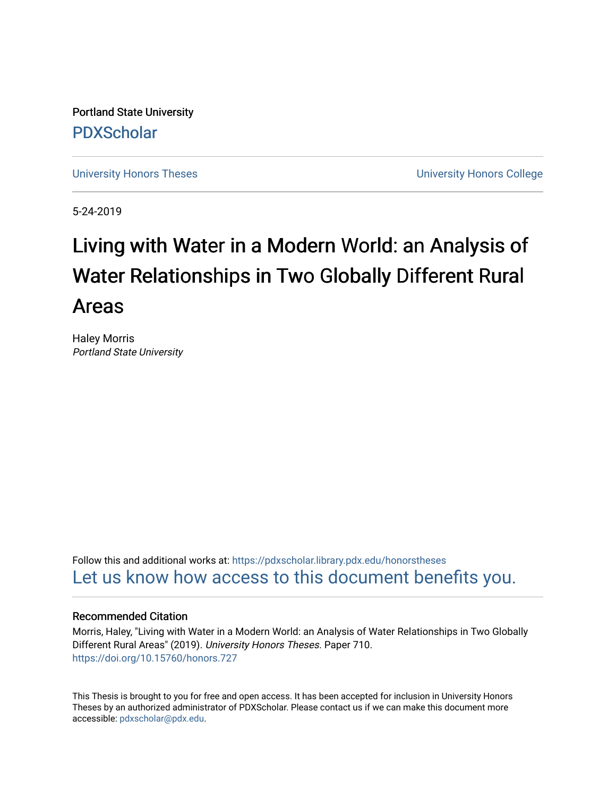Portland State University [PDXScholar](https://pdxscholar.library.pdx.edu/)

[University Honors Theses](https://pdxscholar.library.pdx.edu/honorstheses) [University Honors College](https://pdxscholar.library.pdx.edu/honors) 

5-24-2019

# Living with Water in a Modern World: an Analysis of Water Relationships in Two Globally Different Rural Areas

Haley Morris Portland State University

Follow this and additional works at: [https://pdxscholar.library.pdx.edu/honorstheses](https://pdxscholar.library.pdx.edu/honorstheses?utm_source=pdxscholar.library.pdx.edu%2Fhonorstheses%2F710&utm_medium=PDF&utm_campaign=PDFCoverPages)  [Let us know how access to this document benefits you.](http://library.pdx.edu/services/pdxscholar-services/pdxscholar-feedback/) 

#### Recommended Citation

Morris, Haley, "Living with Water in a Modern World: an Analysis of Water Relationships in Two Globally Different Rural Areas" (2019). University Honors Theses. Paper 710. <https://doi.org/10.15760/honors.727>

This Thesis is brought to you for free and open access. It has been accepted for inclusion in University Honors Theses by an authorized administrator of PDXScholar. Please contact us if we can make this document more accessible: [pdxscholar@pdx.edu.](mailto:pdxscholar@pdx.edu)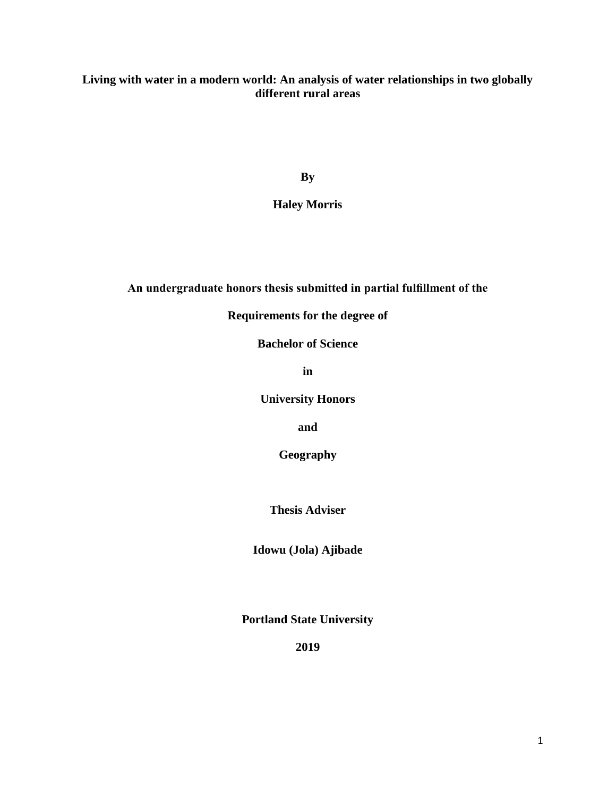# **Living with water in a modern world: An analysis of water relationships in two globally different rural areas**

**By**

**Haley Morris**

# **An undergraduate honors thesis submitted in partial fulfillment of the**

**Requirements for the degree of**

**Bachelor of Science**

**in**

**University Honors**

**and**

**Geography** 

**Thesis Adviser**

**Idowu (Jola) Ajibade** 

**Portland State University**

**2019**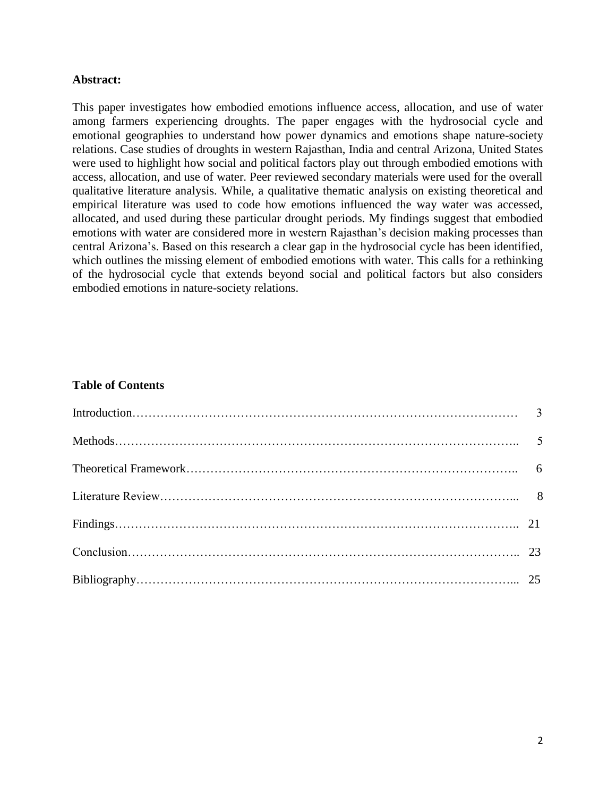## **Abstract:**

This paper investigates how embodied emotions influence access, allocation, and use of water among farmers experiencing droughts. The paper engages with the hydrosocial cycle and emotional geographies to understand how power dynamics and emotions shape nature-society relations. Case studies of droughts in western Rajasthan, India and central Arizona, United States were used to highlight how social and political factors play out through embodied emotions with access, allocation, and use of water. Peer reviewed secondary materials were used for the overall qualitative literature analysis. While, a qualitative thematic analysis on existing theoretical and empirical literature was used to code how emotions influenced the way water was accessed, allocated, and used during these particular drought periods. My findings suggest that embodied emotions with water are considered more in western Rajasthan's decision making processes than central Arizona's. Based on this research a clear gap in the hydrosocial cycle has been identified, which outlines the missing element of embodied emotions with water. This calls for a rethinking of the hydrosocial cycle that extends beyond social and political factors but also considers embodied emotions in nature-society relations.

# **Table of Contents**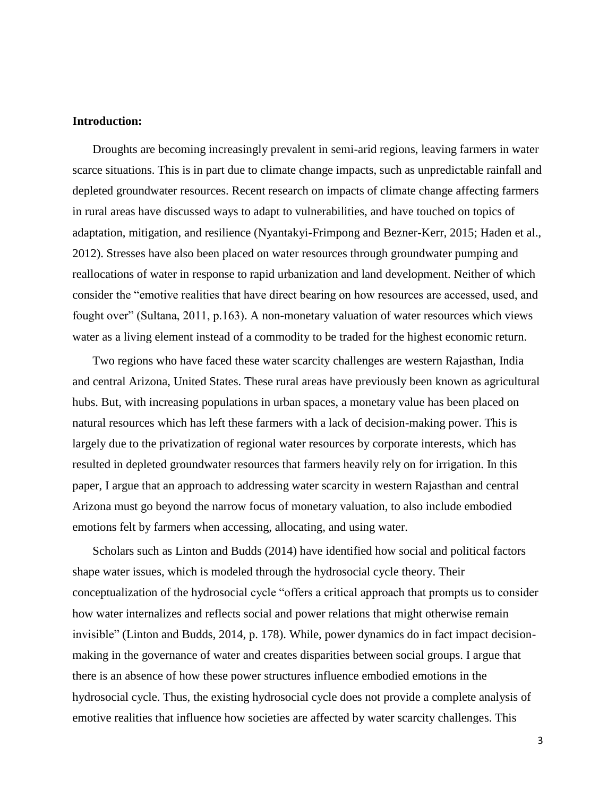#### **Introduction:**

Droughts are becoming increasingly prevalent in semi-arid regions, leaving farmers in water scarce situations. This is in part due to climate change impacts, such as unpredictable rainfall and depleted groundwater resources. Recent research on impacts of climate change affecting farmers in rural areas have discussed ways to adapt to vulnerabilities, and have touched on topics of adaptation, mitigation, and resilience (Nyantakyi-Frimpong and Bezner-Kerr, 2015; Haden et al., 2012). Stresses have also been placed on water resources through groundwater pumping and reallocations of water in response to rapid urbanization and land development. Neither of which consider the "emotive realities that have direct bearing on how resources are accessed, used, and fought over" (Sultana, 2011, p.163). A non-monetary valuation of water resources which views water as a living element instead of a commodity to be traded for the highest economic return.

Two regions who have faced these water scarcity challenges are western Rajasthan, India and central Arizona, United States. These rural areas have previously been known as agricultural hubs. But, with increasing populations in urban spaces, a monetary value has been placed on natural resources which has left these farmers with a lack of decision-making power. This is largely due to the privatization of regional water resources by corporate interests, which has resulted in depleted groundwater resources that farmers heavily rely on for irrigation. In this paper, I argue that an approach to addressing water scarcity in western Rajasthan and central Arizona must go beyond the narrow focus of monetary valuation, to also include embodied emotions felt by farmers when accessing, allocating, and using water.

Scholars such as Linton and Budds (2014) have identified how social and political factors shape water issues, which is modeled through the hydrosocial cycle theory. Their conceptualization of the hydrosocial cycle "offers a critical approach that prompts us to consider how water internalizes and reflects social and power relations that might otherwise remain invisible" (Linton and Budds, 2014, p. 178). While, power dynamics do in fact impact decisionmaking in the governance of water and creates disparities between social groups. I argue that there is an absence of how these power structures influence embodied emotions in the hydrosocial cycle. Thus, the existing hydrosocial cycle does not provide a complete analysis of emotive realities that influence how societies are affected by water scarcity challenges. This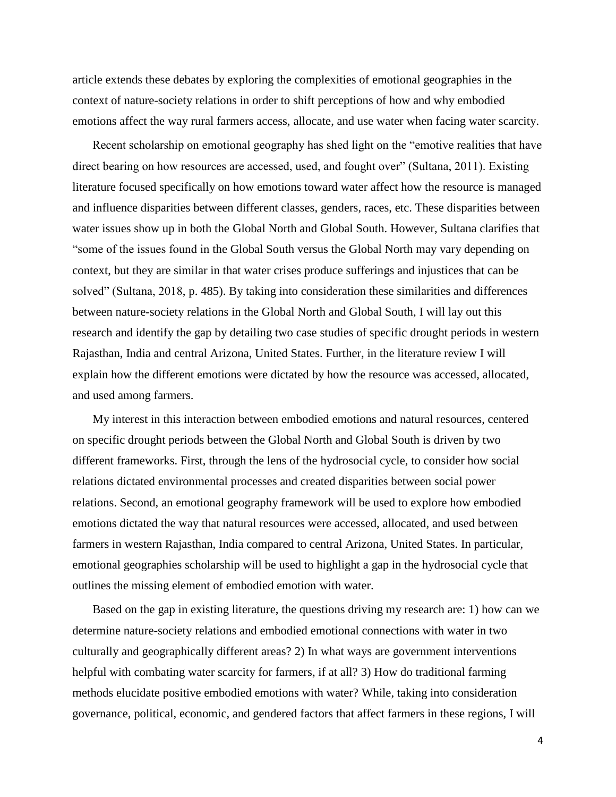article extends these debates by exploring the complexities of emotional geographies in the context of nature-society relations in order to shift perceptions of how and why embodied emotions affect the way rural farmers access, allocate, and use water when facing water scarcity.

Recent scholarship on emotional geography has shed light on the "emotive realities that have direct bearing on how resources are accessed, used, and fought over" (Sultana, 2011). Existing literature focused specifically on how emotions toward water affect how the resource is managed and influence disparities between different classes, genders, races, etc. These disparities between water issues show up in both the Global North and Global South. However, Sultana clarifies that "some of the issues found in the Global South versus the Global North may vary depending on context, but they are similar in that water crises produce sufferings and injustices that can be solved" (Sultana, 2018, p. 485). By taking into consideration these similarities and differences between nature-society relations in the Global North and Global South, I will lay out this research and identify the gap by detailing two case studies of specific drought periods in western Rajasthan, India and central Arizona, United States. Further, in the literature review I will explain how the different emotions were dictated by how the resource was accessed, allocated, and used among farmers.

My interest in this interaction between embodied emotions and natural resources, centered on specific drought periods between the Global North and Global South is driven by two different frameworks. First, through the lens of the hydrosocial cycle, to consider how social relations dictated environmental processes and created disparities between social power relations. Second, an emotional geography framework will be used to explore how embodied emotions dictated the way that natural resources were accessed, allocated, and used between farmers in western Rajasthan, India compared to central Arizona, United States. In particular, emotional geographies scholarship will be used to highlight a gap in the hydrosocial cycle that outlines the missing element of embodied emotion with water.

Based on the gap in existing literature, the questions driving my research are: 1) how can we determine nature-society relations and embodied emotional connections with water in two culturally and geographically different areas? 2) In what ways are government interventions helpful with combating water scarcity for farmers, if at all? 3) How do traditional farming methods elucidate positive embodied emotions with water? While, taking into consideration governance, political, economic, and gendered factors that affect farmers in these regions, I will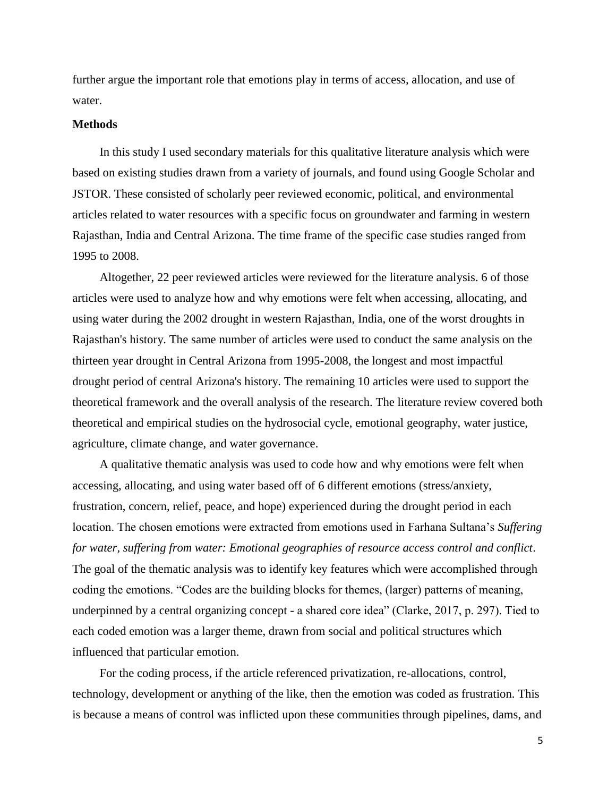further argue the important role that emotions play in terms of access, allocation, and use of water.

#### **Methods**

In this study I used secondary materials for this qualitative literature analysis which were based on existing studies drawn from a variety of journals, and found using Google Scholar and JSTOR. These consisted of scholarly peer reviewed economic, political, and environmental articles related to water resources with a specific focus on groundwater and farming in western Rajasthan, India and Central Arizona. The time frame of the specific case studies ranged from 1995 to 2008.

Altogether, 22 peer reviewed articles were reviewed for the literature analysis. 6 of those articles were used to analyze how and why emotions were felt when accessing, allocating, and using water during the 2002 drought in western Rajasthan, India, one of the worst droughts in Rajasthan's history. The same number of articles were used to conduct the same analysis on the thirteen year drought in Central Arizona from 1995-2008, the longest and most impactful drought period of central Arizona's history. The remaining 10 articles were used to support the theoretical framework and the overall analysis of the research. The literature review covered both theoretical and empirical studies on the hydrosocial cycle, emotional geography, water justice, agriculture, climate change, and water governance.

A qualitative thematic analysis was used to code how and why emotions were felt when accessing, allocating, and using water based off of 6 different emotions (stress/anxiety, frustration, concern, relief, peace, and hope) experienced during the drought period in each location. The chosen emotions were extracted from emotions used in Farhana Sultana's *Suffering for water, suffering from water: Emotional geographies of resource access control and conflict*. The goal of the thematic analysis was to identify key features which were accomplished through coding the emotions. "Codes are the building blocks for themes, (larger) patterns of meaning, underpinned by a central organizing concept - a shared core idea" (Clarke, 2017, p. 297). Tied to each coded emotion was a larger theme, drawn from social and political structures which influenced that particular emotion.

For the coding process, if the article referenced privatization, re-allocations, control, technology, development or anything of the like, then the emotion was coded as frustration. This is because a means of control was inflicted upon these communities through pipelines, dams, and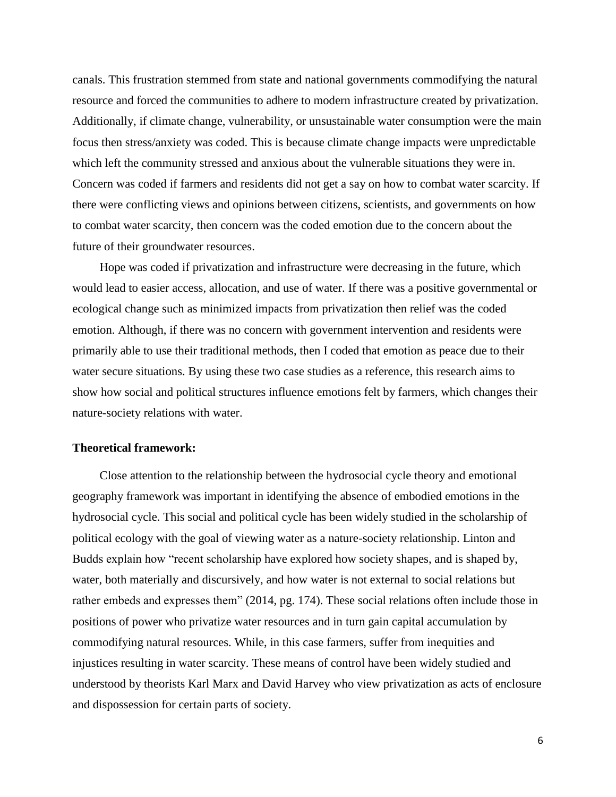canals. This frustration stemmed from state and national governments commodifying the natural resource and forced the communities to adhere to modern infrastructure created by privatization. Additionally, if climate change, vulnerability, or unsustainable water consumption were the main focus then stress/anxiety was coded. This is because climate change impacts were unpredictable which left the community stressed and anxious about the vulnerable situations they were in. Concern was coded if farmers and residents did not get a say on how to combat water scarcity. If there were conflicting views and opinions between citizens, scientists, and governments on how to combat water scarcity, then concern was the coded emotion due to the concern about the future of their groundwater resources.

Hope was coded if privatization and infrastructure were decreasing in the future, which would lead to easier access, allocation, and use of water. If there was a positive governmental or ecological change such as minimized impacts from privatization then relief was the coded emotion. Although, if there was no concern with government intervention and residents were primarily able to use their traditional methods, then I coded that emotion as peace due to their water secure situations. By using these two case studies as a reference, this research aims to show how social and political structures influence emotions felt by farmers, which changes their nature-society relations with water.

#### **Theoretical framework:**

Close attention to the relationship between the hydrosocial cycle theory and emotional geography framework was important in identifying the absence of embodied emotions in the hydrosocial cycle. This social and political cycle has been widely studied in the scholarship of political ecology with the goal of viewing water as a nature-society relationship. Linton and Budds explain how "recent scholarship have explored how society shapes, and is shaped by, water, both materially and discursively, and how water is not external to social relations but rather embeds and expresses them" (2014, pg. 174). These social relations often include those in positions of power who privatize water resources and in turn gain capital accumulation by commodifying natural resources. While, in this case farmers, suffer from inequities and injustices resulting in water scarcity. These means of control have been widely studied and understood by theorists Karl Marx and David Harvey who view privatization as acts of enclosure and dispossession for certain parts of society.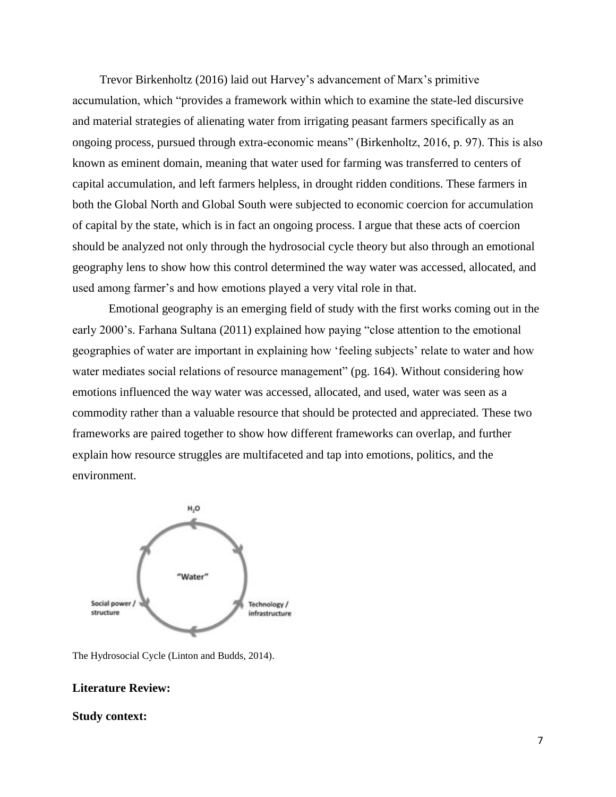Trevor Birkenholtz (2016) laid out Harvey's advancement of Marx's primitive accumulation, which "provides a framework within which to examine the state-led discursive and material strategies of alienating water from irrigating peasant farmers specifically as an ongoing process, pursued through extra-economic means" (Birkenholtz, 2016, p. 97). This is also known as eminent domain, meaning that water used for farming was transferred to centers of capital accumulation, and left farmers helpless, in drought ridden conditions. These farmers in both the Global North and Global South were subjected to economic coercion for accumulation of capital by the state, which is in fact an ongoing process. I argue that these acts of coercion should be analyzed not only through the hydrosocial cycle theory but also through an emotional geography lens to show how this control determined the way water was accessed, allocated, and used among farmer's and how emotions played a very vital role in that.

Emotional geography is an emerging field of study with the first works coming out in the early 2000's. Farhana Sultana (2011) explained how paying "close attention to the emotional geographies of water are important in explaining how 'feeling subjects' relate to water and how water mediates social relations of resource management" (pg. 164). Without considering how emotions influenced the way water was accessed, allocated, and used, water was seen as a commodity rather than a valuable resource that should be protected and appreciated. These two frameworks are paired together to show how different frameworks can overlap, and further explain how resource struggles are multifaceted and tap into emotions, politics, and the environment.



The Hydrosocial Cycle (Linton and Budds, 2014).

#### **Literature Review:**

#### **Study context:**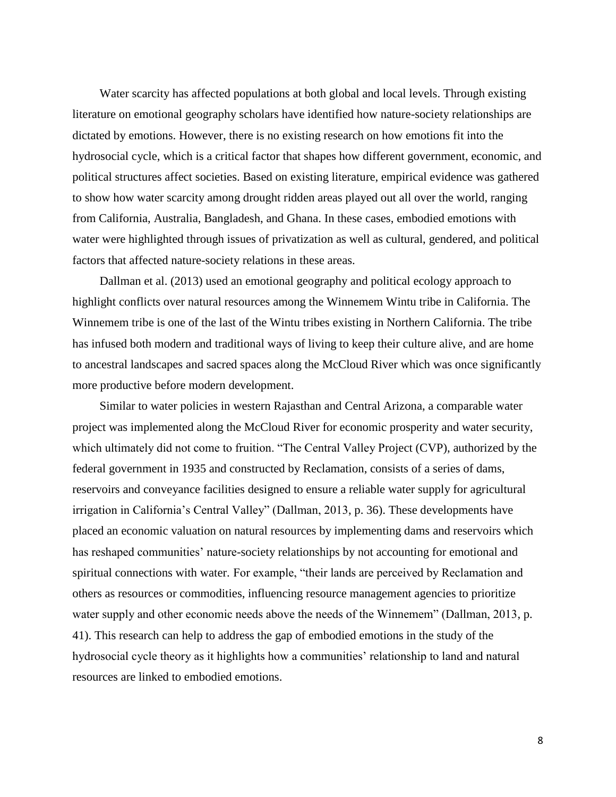Water scarcity has affected populations at both global and local levels. Through existing literature on emotional geography scholars have identified how nature-society relationships are dictated by emotions. However, there is no existing research on how emotions fit into the hydrosocial cycle, which is a critical factor that shapes how different government, economic, and political structures affect societies. Based on existing literature, empirical evidence was gathered to show how water scarcity among drought ridden areas played out all over the world, ranging from California, Australia, Bangladesh, and Ghana. In these cases, embodied emotions with water were highlighted through issues of privatization as well as cultural, gendered, and political factors that affected nature-society relations in these areas.

Dallman et al. (2013) used an emotional geography and political ecology approach to highlight conflicts over natural resources among the Winnemem Wintu tribe in California. The Winnemem tribe is one of the last of the Wintu tribes existing in Northern California. The tribe has infused both modern and traditional ways of living to keep their culture alive, and are home to ancestral landscapes and sacred spaces along the McCloud River which was once significantly more productive before modern development.

Similar to water policies in western Rajasthan and Central Arizona, a comparable water project was implemented along the McCloud River for economic prosperity and water security, which ultimately did not come to fruition. "The Central Valley Project (CVP), authorized by the federal government in 1935 and constructed by Reclamation, consists of a series of dams, reservoirs and conveyance facilities designed to ensure a reliable water supply for agricultural irrigation in California's Central Valley" (Dallman, 2013, p. 36). These developments have placed an economic valuation on natural resources by implementing dams and reservoirs which has reshaped communities' nature-society relationships by not accounting for emotional and spiritual connections with water. For example, "their lands are perceived by Reclamation and others as resources or commodities, influencing resource management agencies to prioritize water supply and other economic needs above the needs of the Winnemem" (Dallman, 2013, p. 41). This research can help to address the gap of embodied emotions in the study of the hydrosocial cycle theory as it highlights how a communities' relationship to land and natural resources are linked to embodied emotions.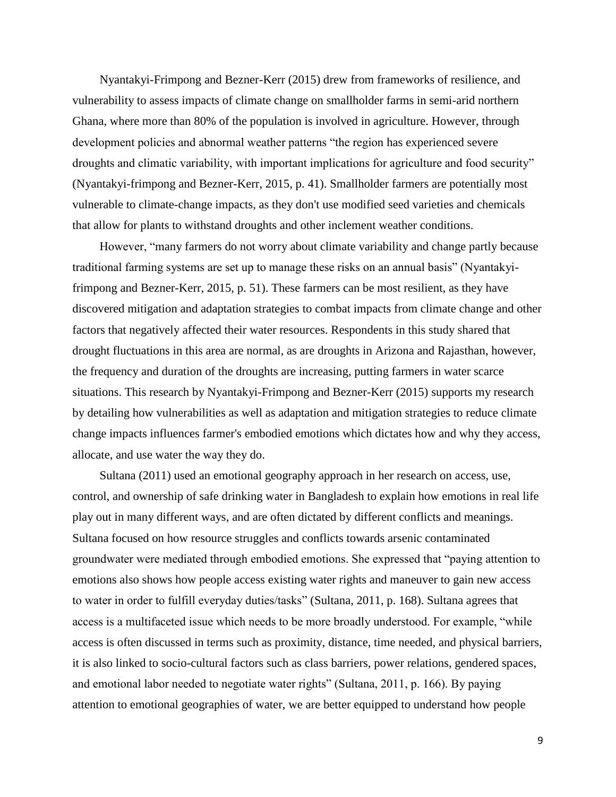Nyantakyi-Frimpong and Bezner-Kerr (2015) drew from frameworks of resilience, and vulnerability to assess impacts of climate change on smallholder farms in semi-arid northern Ghana, where more than 80% of the population is involved in agriculture. However, through development policies and abnormal weather patterns "the region has experienced severe droughts and climatic variability, with important implications for agriculture and food security" (Nyantakyi-frimpong and Bezner-Kerr, 2015, p. 41). Smallholder farmers are potentially most vulnerable to climate-change impacts, as they don't use modified seed varieties and chemicals that allow for plants to withstand droughts and other inclement weather conditions.

However, "many farmers do not worry about climate variability and change partly because traditional farming systems are set up to manage these risks on an annual basis" (Nyantakyifrimpong and Bezner-Kerr, 2015, p. 51). These farmers can be most resilient, as they have discovered mitigation and adaptation strategies to combat impacts from climate change and other factors that negatively affected their water resources. Respondents in this study shared that drought fluctuations in this area are normal, as are droughts in Arizona and Rajasthan, however, the frequency and duration of the droughts are increasing, putting farmers in water scarce situations. This research by Nyantakyi-Frimpong and Bezner-Kerr (2015) supports my research by detailing how vulnerabilities as well as adaptation and mitigation strategies to reduce climate change impacts influences farmer's embodied emotions which dictates how and why they access, allocate, and use water the way they do.

Sultana (2011) used an emotional geography approach in her research on access, use, control, and ownership of safe drinking water in Bangladesh to explain how emotions in real life play out in many different ways, and are often dictated by different conflicts and meanings. Sultana focused on how resource struggles and conflicts towards arsenic contaminated groundwater were mediated through embodied emotions. She expressed that "paying attention to emotions also shows how people access existing water rights and maneuver to gain new access to water in order to fulfill everyday duties/tasks" (Sultana, 2011, p. 168). Sultana agrees that access is a multifaceted issue which needs to be more broadly understood. For example, "while access is often discussed in terms such as proximity, distance, time needed, and physical barriers, it is also linked to socio-cultural factors such as class barriers, power relations, gendered spaces, and emotional labor needed to negotiate water rights" (Sultana, 2011, p. 166). By paying attention to emotional geographies of water, we are better equipped to understand how people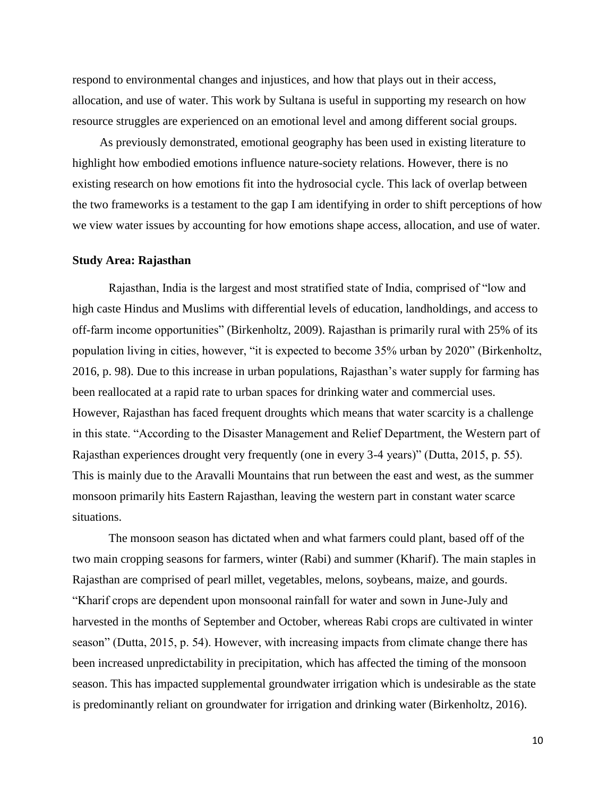respond to environmental changes and injustices, and how that plays out in their access, allocation, and use of water. This work by Sultana is useful in supporting my research on how resource struggles are experienced on an emotional level and among different social groups.

As previously demonstrated, emotional geography has been used in existing literature to highlight how embodied emotions influence nature-society relations. However, there is no existing research on how emotions fit into the hydrosocial cycle. This lack of overlap between the two frameworks is a testament to the gap I am identifying in order to shift perceptions of how we view water issues by accounting for how emotions shape access, allocation, and use of water.

#### **Study Area: Rajasthan**

Rajasthan, India is the largest and most stratified state of India, comprised of "low and high caste Hindus and Muslims with differential levels of education, landholdings, and access to off-farm income opportunities" (Birkenholtz, 2009). Rajasthan is primarily rural with 25% of its population living in cities, however, "it is expected to become 35% urban by 2020" (Birkenholtz, 2016, p. 98). Due to this increase in urban populations, Rajasthan's water supply for farming has been reallocated at a rapid rate to urban spaces for drinking water and commercial uses. However, Rajasthan has faced frequent droughts which means that water scarcity is a challenge in this state. "According to the Disaster Management and Relief Department, the Western part of Rajasthan experiences drought very frequently (one in every 3-4 years)" (Dutta, 2015, p. 55). This is mainly due to the Aravalli Mountains that run between the east and west, as the summer monsoon primarily hits Eastern Rajasthan, leaving the western part in constant water scarce situations.

The monsoon season has dictated when and what farmers could plant, based off of the two main cropping seasons for farmers, winter (Rabi) and summer (Kharif). The main staples in Rajasthan are comprised of pearl millet, vegetables, melons, soybeans, maize, and gourds. "Kharif crops are dependent upon monsoonal rainfall for water and sown in June-July and harvested in the months of September and October, whereas Rabi crops are cultivated in winter season" (Dutta, 2015, p. 54). However, with increasing impacts from climate change there has been increased unpredictability in precipitation, which has affected the timing of the monsoon season. This has impacted supplemental groundwater irrigation which is undesirable as the state is predominantly reliant on groundwater for irrigation and drinking water (Birkenholtz, 2016).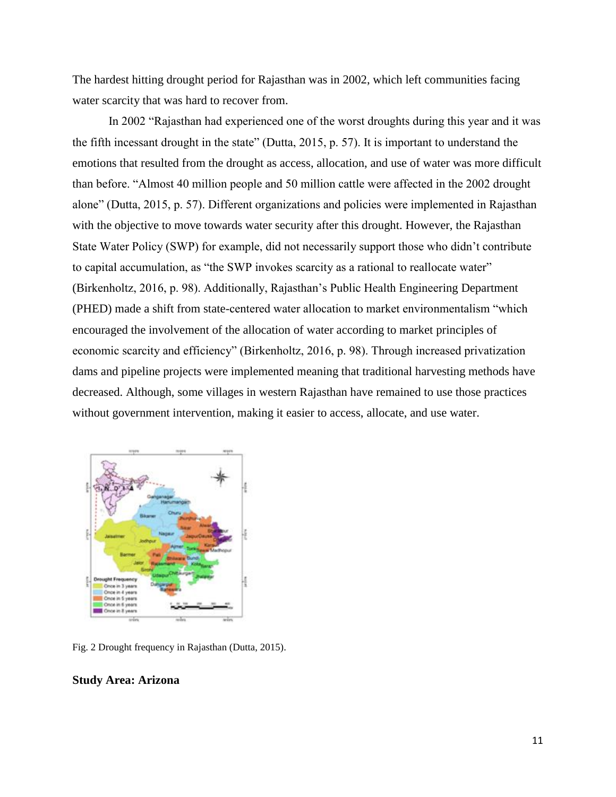The hardest hitting drought period for Rajasthan was in 2002, which left communities facing water scarcity that was hard to recover from.

In 2002 "Rajasthan had experienced one of the worst droughts during this year and it was the fifth incessant drought in the state" (Dutta, 2015, p. 57). It is important to understand the emotions that resulted from the drought as access, allocation, and use of water was more difficult than before. "Almost 40 million people and 50 million cattle were affected in the 2002 drought alone" (Dutta, 2015, p. 57). Different organizations and policies were implemented in Rajasthan with the objective to move towards water security after this drought. However, the Rajasthan State Water Policy (SWP) for example, did not necessarily support those who didn't contribute to capital accumulation, as "the SWP invokes scarcity as a rational to reallocate water" (Birkenholtz, 2016, p. 98). Additionally, Rajasthan's Public Health Engineering Department (PHED) made a shift from state-centered water allocation to market environmentalism "which encouraged the involvement of the allocation of water according to market principles of economic scarcity and efficiency" (Birkenholtz, 2016, p. 98). Through increased privatization dams and pipeline projects were implemented meaning that traditional harvesting methods have decreased. Although, some villages in western Rajasthan have remained to use those practices without government intervention, making it easier to access, allocate, and use water.



Fig. 2 Drought frequency in Rajasthan (Dutta, 2015).

#### **Study Area: Arizona**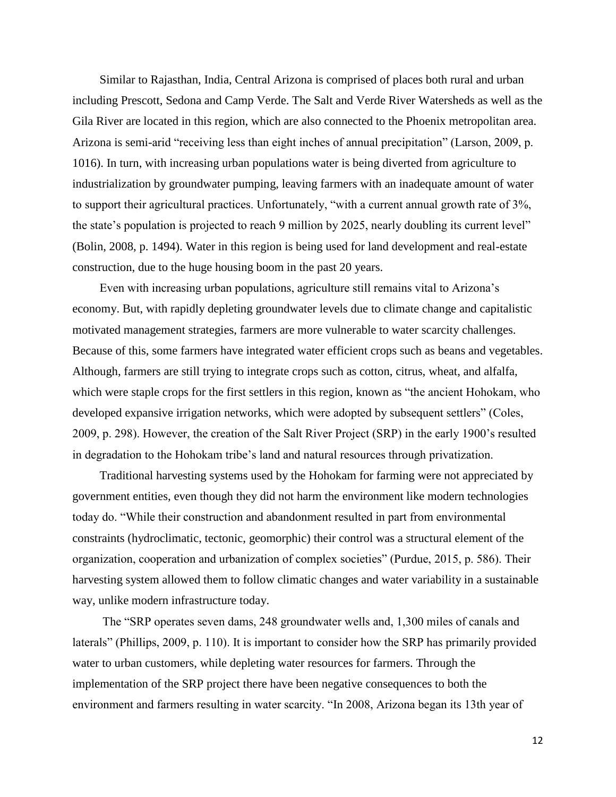Similar to Rajasthan, India, Central Arizona is comprised of places both rural and urban including Prescott, Sedona and Camp Verde. The Salt and Verde River Watersheds as well as the Gila River are located in this region, which are also connected to the Phoenix metropolitan area. Arizona is semi-arid "receiving less than eight inches of annual precipitation" (Larson, 2009, p. 1016). In turn, with increasing urban populations water is being diverted from agriculture to industrialization by groundwater pumping, leaving farmers with an inadequate amount of water to support their agricultural practices. Unfortunately, "with a current annual growth rate of 3%, the state's population is projected to reach 9 million by 2025, nearly doubling its current level" (Bolin, 2008, p. 1494). Water in this region is being used for land development and real-estate construction, due to the huge housing boom in the past 20 years.

Even with increasing urban populations, agriculture still remains vital to Arizona's economy. But, with rapidly depleting groundwater levels due to climate change and capitalistic motivated management strategies, farmers are more vulnerable to water scarcity challenges. Because of this, some farmers have integrated water efficient crops such as beans and vegetables. Although, farmers are still trying to integrate crops such as cotton, citrus, wheat, and alfalfa, which were staple crops for the first settlers in this region, known as "the ancient Hohokam, who developed expansive irrigation networks, which were adopted by subsequent settlers" (Coles, 2009, p. 298). However, the creation of the Salt River Project (SRP) in the early 1900's resulted in degradation to the Hohokam tribe's land and natural resources through privatization.

Traditional harvesting systems used by the Hohokam for farming were not appreciated by government entities, even though they did not harm the environment like modern technologies today do. "While their construction and abandonment resulted in part from environmental constraints (hydroclimatic, tectonic, geomorphic) their control was a structural element of the organization, cooperation and urbanization of complex societies" (Purdue, 2015, p. 586). Their harvesting system allowed them to follow climatic changes and water variability in a sustainable way, unlike modern infrastructure today.

The "SRP operates seven dams, 248 groundwater wells and, 1,300 miles of canals and laterals" (Phillips, 2009, p. 110). It is important to consider how the SRP has primarily provided water to urban customers, while depleting water resources for farmers. Through the implementation of the SRP project there have been negative consequences to both the environment and farmers resulting in water scarcity. "In 2008, Arizona began its 13th year of

12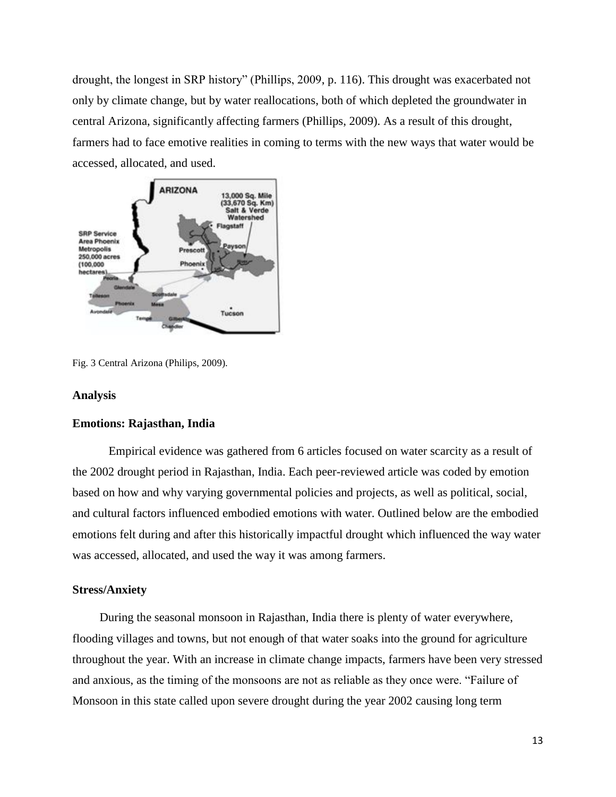drought, the longest in SRP history" (Phillips, 2009, p. 116). This drought was exacerbated not only by climate change, but by water reallocations, both of which depleted the groundwater in central Arizona, significantly affecting farmers (Phillips, 2009). As a result of this drought, farmers had to face emotive realities in coming to terms with the new ways that water would be accessed, allocated, and used.



Fig. 3 Central Arizona (Philips, 2009).

#### **Analysis**

#### **Emotions: Rajasthan, India**

Empirical evidence was gathered from 6 articles focused on water scarcity as a result of the 2002 drought period in Rajasthan, India. Each peer-reviewed article was coded by emotion based on how and why varying governmental policies and projects, as well as political, social, and cultural factors influenced embodied emotions with water. Outlined below are the embodied emotions felt during and after this historically impactful drought which influenced the way water was accessed, allocated, and used the way it was among farmers.

#### **Stress/Anxiety**

During the seasonal monsoon in Rajasthan, India there is plenty of water everywhere, flooding villages and towns, but not enough of that water soaks into the ground for agriculture throughout the year. With an increase in climate change impacts, farmers have been very stressed and anxious, as the timing of the monsoons are not as reliable as they once were. "Failure of Monsoon in this state called upon severe drought during the year 2002 causing long term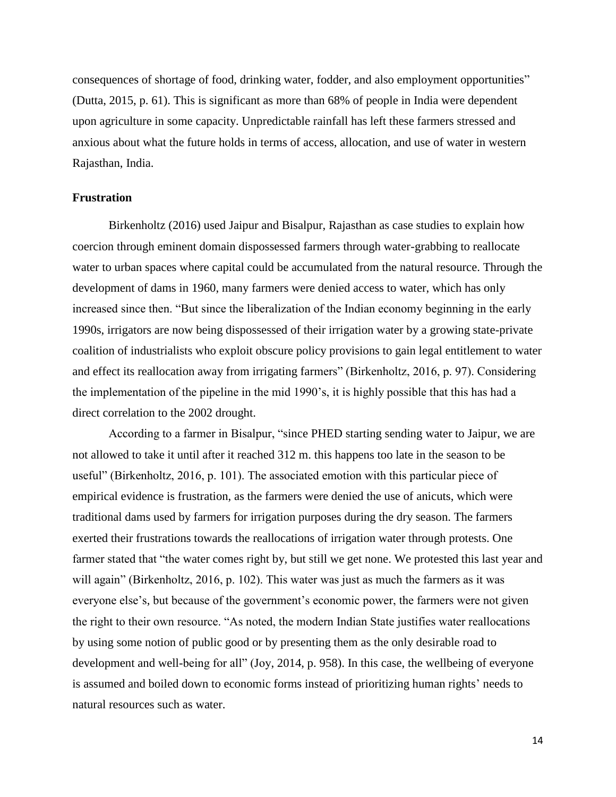consequences of shortage of food, drinking water, fodder, and also employment opportunities" (Dutta, 2015, p. 61). This is significant as more than 68% of people in India were dependent upon agriculture in some capacity. Unpredictable rainfall has left these farmers stressed and anxious about what the future holds in terms of access, allocation, and use of water in western Rajasthan, India.

#### **Frustration**

Birkenholtz (2016) used Jaipur and Bisalpur, Rajasthan as case studies to explain how coercion through eminent domain dispossessed farmers through water-grabbing to reallocate water to urban spaces where capital could be accumulated from the natural resource. Through the development of dams in 1960, many farmers were denied access to water, which has only increased since then. "But since the liberalization of the Indian economy beginning in the early 1990s, irrigators are now being dispossessed of their irrigation water by a growing state-private coalition of industrialists who exploit obscure policy provisions to gain legal entitlement to water and effect its reallocation away from irrigating farmers" (Birkenholtz, 2016, p. 97). Considering the implementation of the pipeline in the mid 1990's, it is highly possible that this has had a direct correlation to the 2002 drought.

According to a farmer in Bisalpur, "since PHED starting sending water to Jaipur, we are not allowed to take it until after it reached 312 m. this happens too late in the season to be useful" (Birkenholtz, 2016, p. 101). The associated emotion with this particular piece of empirical evidence is frustration, as the farmers were denied the use of anicuts, which were traditional dams used by farmers for irrigation purposes during the dry season. The farmers exerted their frustrations towards the reallocations of irrigation water through protests. One farmer stated that "the water comes right by, but still we get none. We protested this last year and will again" (Birkenholtz, 2016, p. 102). This water was just as much the farmers as it was everyone else's, but because of the government's economic power, the farmers were not given the right to their own resource. "As noted, the modern Indian State justifies water reallocations by using some notion of public good or by presenting them as the only desirable road to development and well-being for all" (Joy, 2014, p. 958). In this case, the wellbeing of everyone is assumed and boiled down to economic forms instead of prioritizing human rights' needs to natural resources such as water.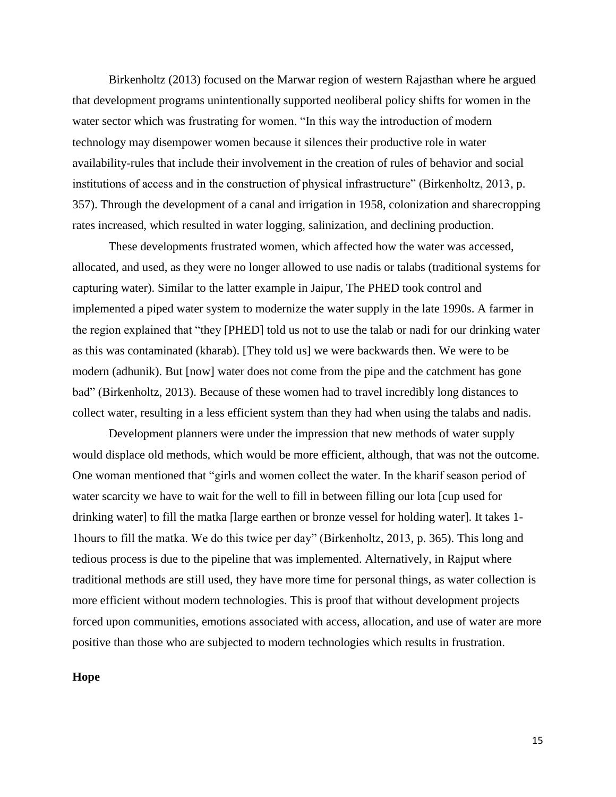Birkenholtz (2013) focused on the Marwar region of western Rajasthan where he argued that development programs unintentionally supported neoliberal policy shifts for women in the water sector which was frustrating for women. "In this way the introduction of modern technology may disempower women because it silences their productive role in water availability-rules that include their involvement in the creation of rules of behavior and social institutions of access and in the construction of physical infrastructure" (Birkenholtz, 2013, p. 357). Through the development of a canal and irrigation in 1958, colonization and sharecropping rates increased, which resulted in water logging, salinization, and declining production.

These developments frustrated women, which affected how the water was accessed, allocated, and used, as they were no longer allowed to use nadis or talabs (traditional systems for capturing water). Similar to the latter example in Jaipur, The PHED took control and implemented a piped water system to modernize the water supply in the late 1990s. A farmer in the region explained that "they [PHED] told us not to use the talab or nadi for our drinking water as this was contaminated (kharab). [They told us] we were backwards then. We were to be modern (adhunik). But [now] water does not come from the pipe and the catchment has gone bad" (Birkenholtz, 2013). Because of these women had to travel incredibly long distances to collect water, resulting in a less efficient system than they had when using the talabs and nadis.

Development planners were under the impression that new methods of water supply would displace old methods, which would be more efficient, although, that was not the outcome. One woman mentioned that "girls and women collect the water. In the kharif season period of water scarcity we have to wait for the well to fill in between filling our lota [cup used for drinking water] to fill the matka [large earthen or bronze vessel for holding water]. It takes 1- 1hours to fill the matka. We do this twice per day" (Birkenholtz, 2013, p. 365). This long and tedious process is due to the pipeline that was implemented. Alternatively, in Rajput where traditional methods are still used, they have more time for personal things, as water collection is more efficient without modern technologies. This is proof that without development projects forced upon communities, emotions associated with access, allocation, and use of water are more positive than those who are subjected to modern technologies which results in frustration.

#### **Hope**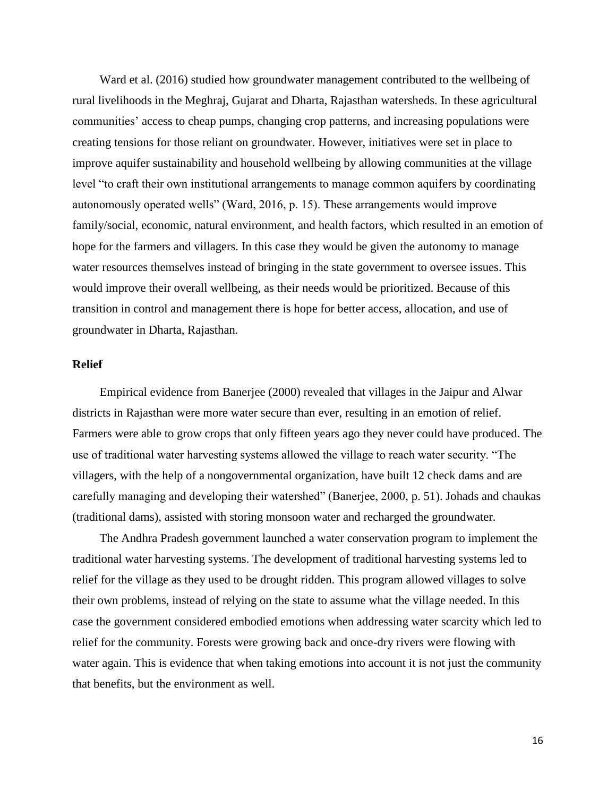Ward et al. (2016) studied how groundwater management contributed to the wellbeing of rural livelihoods in the Meghraj, Gujarat and Dharta, Rajasthan watersheds. In these agricultural communities' access to cheap pumps, changing crop patterns, and increasing populations were creating tensions for those reliant on groundwater. However, initiatives were set in place to improve aquifer sustainability and household wellbeing by allowing communities at the village level "to craft their own institutional arrangements to manage common aquifers by coordinating autonomously operated wells" (Ward, 2016, p. 15). These arrangements would improve family/social, economic, natural environment, and health factors, which resulted in an emotion of hope for the farmers and villagers. In this case they would be given the autonomy to manage water resources themselves instead of bringing in the state government to oversee issues. This would improve their overall wellbeing, as their needs would be prioritized. Because of this transition in control and management there is hope for better access, allocation, and use of groundwater in Dharta, Rajasthan.

#### **Relief**

Empirical evidence from Banerjee (2000) revealed that villages in the Jaipur and Alwar districts in Rajasthan were more water secure than ever, resulting in an emotion of relief. Farmers were able to grow crops that only fifteen years ago they never could have produced. The use of traditional water harvesting systems allowed the village to reach water security. "The villagers, with the help of a nongovernmental organization, have built 12 check dams and are carefully managing and developing their watershed" (Banerjee, 2000, p. 51). Johads and chaukas (traditional dams), assisted with storing monsoon water and recharged the groundwater.

The Andhra Pradesh government launched a water conservation program to implement the traditional water harvesting systems. The development of traditional harvesting systems led to relief for the village as they used to be drought ridden. This program allowed villages to solve their own problems, instead of relying on the state to assume what the village needed. In this case the government considered embodied emotions when addressing water scarcity which led to relief for the community. Forests were growing back and once-dry rivers were flowing with water again. This is evidence that when taking emotions into account it is not just the community that benefits, but the environment as well.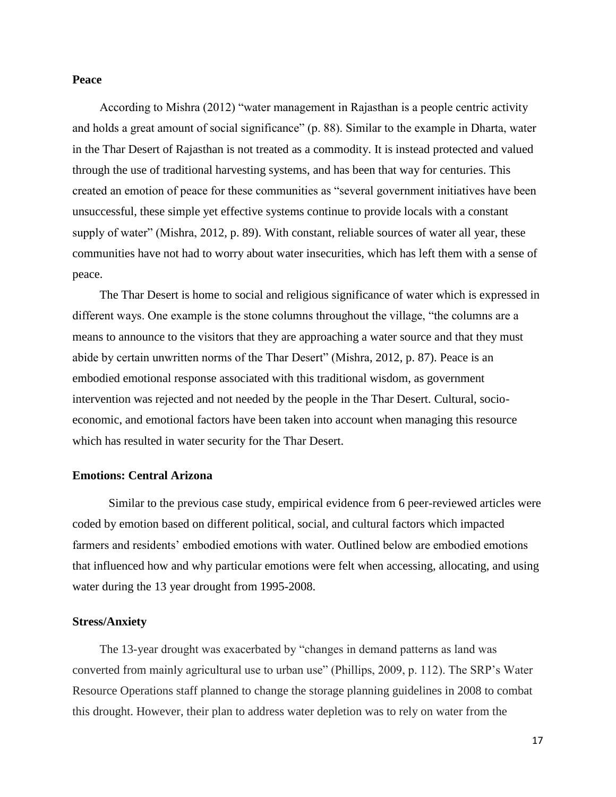#### **Peace**

According to Mishra (2012) "water management in Rajasthan is a people centric activity and holds a great amount of social significance" (p. 88). Similar to the example in Dharta, water in the Thar Desert of Rajasthan is not treated as a commodity. It is instead protected and valued through the use of traditional harvesting systems, and has been that way for centuries. This created an emotion of peace for these communities as "several government initiatives have been unsuccessful, these simple yet effective systems continue to provide locals with a constant supply of water" (Mishra, 2012, p. 89). With constant, reliable sources of water all year, these communities have not had to worry about water insecurities, which has left them with a sense of peace.

The Thar Desert is home to social and religious significance of water which is expressed in different ways. One example is the stone columns throughout the village, "the columns are a means to announce to the visitors that they are approaching a water source and that they must abide by certain unwritten norms of the Thar Desert" (Mishra, 2012, p. 87). Peace is an embodied emotional response associated with this traditional wisdom, as government intervention was rejected and not needed by the people in the Thar Desert. Cultural, socioeconomic, and emotional factors have been taken into account when managing this resource which has resulted in water security for the Thar Desert.

#### **Emotions: Central Arizona**

Similar to the previous case study, empirical evidence from 6 peer-reviewed articles were coded by emotion based on different political, social, and cultural factors which impacted farmers and residents' embodied emotions with water. Outlined below are embodied emotions that influenced how and why particular emotions were felt when accessing, allocating, and using water during the 13 year drought from 1995-2008.

#### **Stress/Anxiety**

The 13-year drought was exacerbated by "changes in demand patterns as land was converted from mainly agricultural use to urban use" (Phillips, 2009, p. 112). The SRP's Water Resource Operations staff planned to change the storage planning guidelines in 2008 to combat this drought. However, their plan to address water depletion was to rely on water from the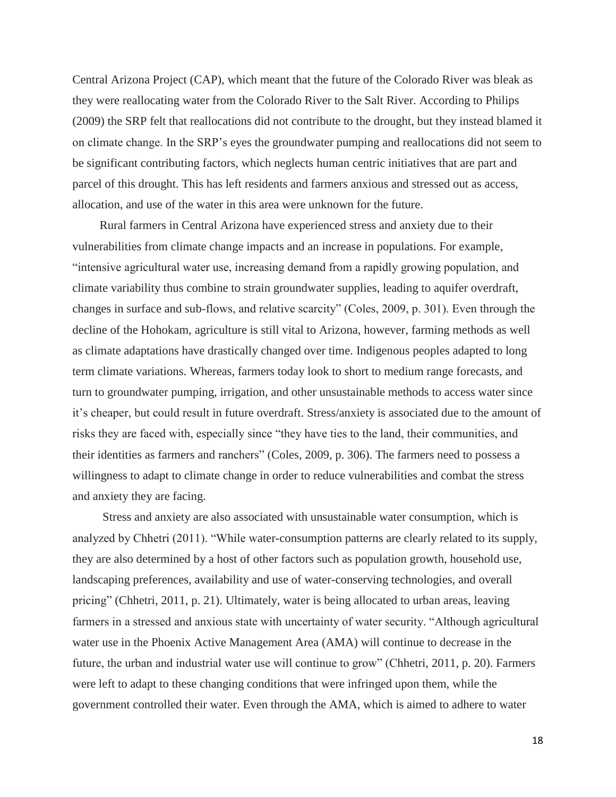Central Arizona Project (CAP), which meant that the future of the Colorado River was bleak as they were reallocating water from the Colorado River to the Salt River. According to Philips (2009) the SRP felt that reallocations did not contribute to the drought, but they instead blamed it on climate change. In the SRP's eyes the groundwater pumping and reallocations did not seem to be significant contributing factors, which neglects human centric initiatives that are part and parcel of this drought. This has left residents and farmers anxious and stressed out as access, allocation, and use of the water in this area were unknown for the future.

Rural farmers in Central Arizona have experienced stress and anxiety due to their vulnerabilities from climate change impacts and an increase in populations. For example, "intensive agricultural water use, increasing demand from a rapidly growing population, and climate variability thus combine to strain groundwater supplies, leading to aquifer overdraft, changes in surface and sub-flows, and relative scarcity" (Coles, 2009, p. 301). Even through the decline of the Hohokam, agriculture is still vital to Arizona, however, farming methods as well as climate adaptations have drastically changed over time. Indigenous peoples adapted to long term climate variations. Whereas, farmers today look to short to medium range forecasts, and turn to groundwater pumping, irrigation, and other unsustainable methods to access water since it's cheaper, but could result in future overdraft. Stress/anxiety is associated due to the amount of risks they are faced with, especially since "they have ties to the land, their communities, and their identities as farmers and ranchers" (Coles, 2009, p. 306). The farmers need to possess a willingness to adapt to climate change in order to reduce vulnerabilities and combat the stress and anxiety they are facing.

Stress and anxiety are also associated with unsustainable water consumption, which is analyzed by Chhetri (2011). "While water-consumption patterns are clearly related to its supply, they are also determined by a host of other factors such as population growth, household use, landscaping preferences, availability and use of water-conserving technologies, and overall pricing" (Chhetri, 2011, p. 21). Ultimately, water is being allocated to urban areas, leaving farmers in a stressed and anxious state with uncertainty of water security. "Although agricultural water use in the Phoenix Active Management Area (AMA) will continue to decrease in the future, the urban and industrial water use will continue to grow" (Chhetri, 2011, p. 20). Farmers were left to adapt to these changing conditions that were infringed upon them, while the government controlled their water. Even through the AMA, which is aimed to adhere to water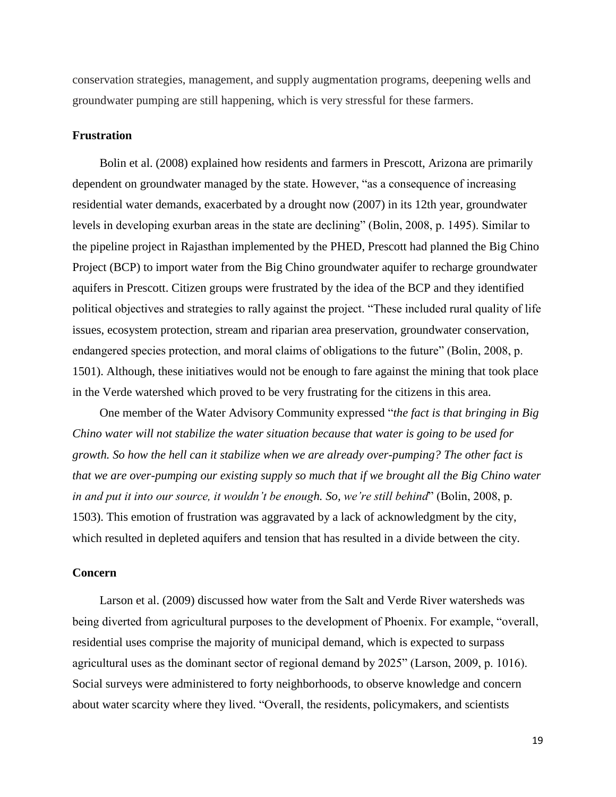conservation strategies, management, and supply augmentation programs, deepening wells and groundwater pumping are still happening, which is very stressful for these farmers.

#### **Frustration**

Bolin et al. (2008) explained how residents and farmers in Prescott, Arizona are primarily dependent on groundwater managed by the state. However, "as a consequence of increasing residential water demands, exacerbated by a drought now (2007) in its 12th year, groundwater levels in developing exurban areas in the state are declining" (Bolin, 2008, p. 1495). Similar to the pipeline project in Rajasthan implemented by the PHED, Prescott had planned the Big Chino Project (BCP) to import water from the Big Chino groundwater aquifer to recharge groundwater aquifers in Prescott. Citizen groups were frustrated by the idea of the BCP and they identified political objectives and strategies to rally against the project. "These included rural quality of life issues, ecosystem protection, stream and riparian area preservation, groundwater conservation, endangered species protection, and moral claims of obligations to the future" (Bolin, 2008, p. 1501). Although, these initiatives would not be enough to fare against the mining that took place in the Verde watershed which proved to be very frustrating for the citizens in this area.

One member of the Water Advisory Community expressed "*the fact is that bringing in Big Chino water will not stabilize the water situation because that water is going to be used for growth. So how the hell can it stabilize when we are already over-pumping? The other fact is that we are over-pumping our existing supply so much that if we brought all the Big Chino water in and put it into our source, it wouldn't be enough. So, we're still behind*" (Bolin, 2008, p. 1503). This emotion of frustration was aggravated by a lack of acknowledgment by the city, which resulted in depleted aquifers and tension that has resulted in a divide between the city.

#### **Concern**

Larson et al. (2009) discussed how water from the Salt and Verde River watersheds was being diverted from agricultural purposes to the development of Phoenix. For example, "overall, residential uses comprise the majority of municipal demand, which is expected to surpass agricultural uses as the dominant sector of regional demand by 2025" (Larson, 2009, p. 1016). Social surveys were administered to forty neighborhoods, to observe knowledge and concern about water scarcity where they lived. "Overall, the residents, policymakers, and scientists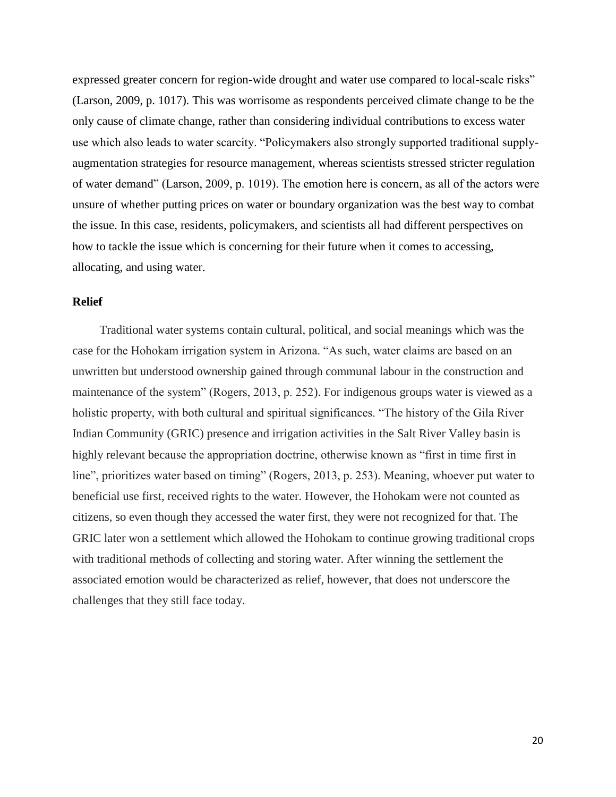expressed greater concern for region-wide drought and water use compared to local-scale risks" (Larson, 2009, p. 1017). This was worrisome as respondents perceived climate change to be the only cause of climate change, rather than considering individual contributions to excess water use which also leads to water scarcity. "Policymakers also strongly supported traditional supplyaugmentation strategies for resource management, whereas scientists stressed stricter regulation of water demand" (Larson, 2009, p. 1019). The emotion here is concern, as all of the actors were unsure of whether putting prices on water or boundary organization was the best way to combat the issue. In this case, residents, policymakers, and scientists all had different perspectives on how to tackle the issue which is concerning for their future when it comes to accessing, allocating, and using water.

#### **Relief**

Traditional water systems contain cultural, political, and social meanings which was the case for the Hohokam irrigation system in Arizona. "As such, water claims are based on an unwritten but understood ownership gained through communal labour in the construction and maintenance of the system" (Rogers, 2013, p. 252). For indigenous groups water is viewed as a holistic property, with both cultural and spiritual significances. "The history of the Gila River Indian Community (GRIC) presence and irrigation activities in the Salt River Valley basin is highly relevant because the appropriation doctrine, otherwise known as "first in time first in line", prioritizes water based on timing" (Rogers, 2013, p. 253). Meaning, whoever put water to beneficial use first, received rights to the water. However, the Hohokam were not counted as citizens, so even though they accessed the water first, they were not recognized for that. The GRIC later won a settlement which allowed the Hohokam to continue growing traditional crops with traditional methods of collecting and storing water. After winning the settlement the associated emotion would be characterized as relief, however, that does not underscore the challenges that they still face today.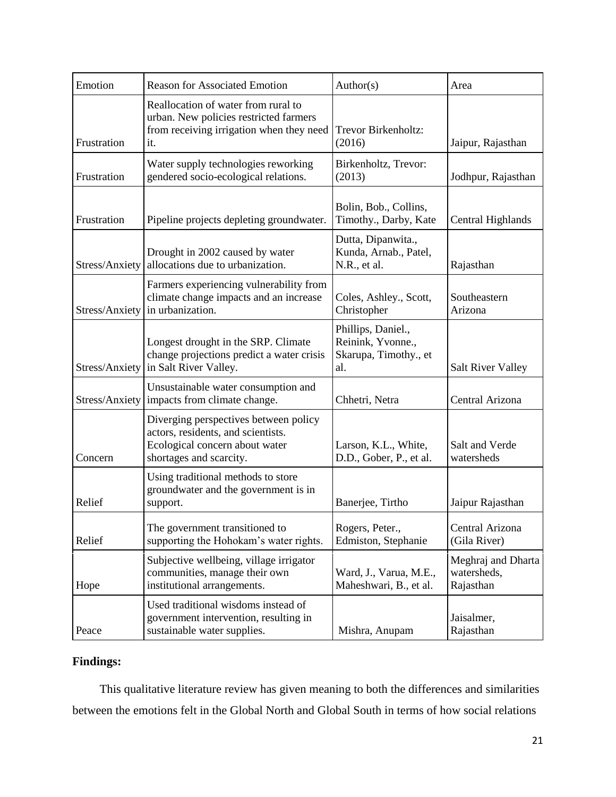| Emotion        | <b>Reason for Associated Emotion</b>                                                                                                     | Author(s)                                                               | Area                                           |
|----------------|------------------------------------------------------------------------------------------------------------------------------------------|-------------------------------------------------------------------------|------------------------------------------------|
| Frustration    | Reallocation of water from rural to<br>urban. New policies restricted farmers<br>from receiving irrigation when they need<br>it.         | Trevor Birkenholtz:<br>(2016)                                           | Jaipur, Rajasthan                              |
| Frustration    | Water supply technologies reworking<br>gendered socio-ecological relations.                                                              | Birkenholtz, Trevor:<br>(2013)                                          | Jodhpur, Rajasthan                             |
| Frustration    | Pipeline projects depleting groundwater.                                                                                                 | Bolin, Bob., Collins,<br>Timothy., Darby, Kate                          | Central Highlands                              |
|                | Drought in 2002 caused by water<br>Stress/Anxiety allocations due to urbanization.                                                       | Dutta, Dipanwita.,<br>Kunda, Arnab., Patel,<br>N.R., et al.             | Rajasthan                                      |
| Stress/Anxiety | Farmers experiencing vulnerability from<br>climate change impacts and an increase<br>in urbanization.                                    | Coles, Ashley., Scott,<br>Christopher                                   | Southeastern<br>Arizona                        |
|                | Longest drought in the SRP. Climate<br>change projections predict a water crisis<br>Stress/Anxiety in Salt River Valley.                 | Phillips, Daniel.,<br>Reinink, Yvonne.,<br>Skarupa, Timothy., et<br>al. | <b>Salt River Valley</b>                       |
|                | Unsustainable water consumption and<br>Stress/Anxiety   impacts from climate change.                                                     | Chhetri, Netra                                                          | Central Arizona                                |
| Concern        | Diverging perspectives between policy<br>actors, residents, and scientists.<br>Ecological concern about water<br>shortages and scarcity. | Larson, K.L., White,<br>D.D., Gober, P., et al.                         | Salt and Verde<br>watersheds                   |
| Relief         | Using traditional methods to store<br>groundwater and the government is in<br>support.                                                   | Banerjee, Tirtho                                                        | Jaipur Rajasthan                               |
| Relief         | The government transitioned to<br>supporting the Hohokam's water rights.                                                                 | Rogers, Peter.,<br>Edmiston, Stephanie                                  | Central Arizona<br>(Gila River)                |
| Hope           | Subjective wellbeing, village irrigator<br>communities, manage their own<br>institutional arrangements.                                  | Ward, J., Varua, M.E.,<br>Maheshwari, B., et al.                        | Meghraj and Dharta<br>watersheds,<br>Rajasthan |
| Peace          | Used traditional wisdoms instead of<br>government intervention, resulting in<br>sustainable water supplies.                              | Mishra, Anupam                                                          | Jaisalmer,<br>Rajasthan                        |

# **Findings:**

This qualitative literature review has given meaning to both the differences and similarities between the emotions felt in the Global North and Global South in terms of how social relations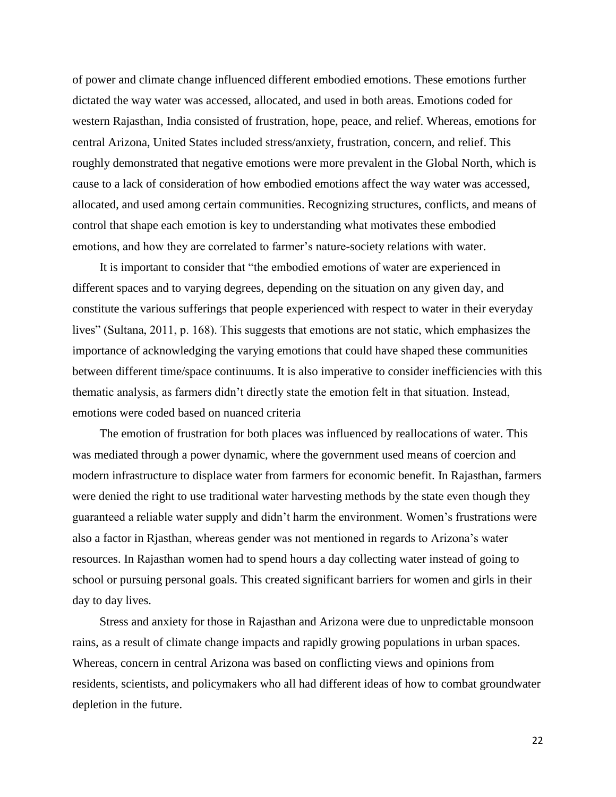of power and climate change influenced different embodied emotions. These emotions further dictated the way water was accessed, allocated, and used in both areas. Emotions coded for western Rajasthan, India consisted of frustration, hope, peace, and relief. Whereas, emotions for central Arizona, United States included stress/anxiety, frustration, concern, and relief. This roughly demonstrated that negative emotions were more prevalent in the Global North, which is cause to a lack of consideration of how embodied emotions affect the way water was accessed, allocated, and used among certain communities. Recognizing structures, conflicts, and means of control that shape each emotion is key to understanding what motivates these embodied emotions, and how they are correlated to farmer's nature-society relations with water.

It is important to consider that "the embodied emotions of water are experienced in different spaces and to varying degrees, depending on the situation on any given day, and constitute the various sufferings that people experienced with respect to water in their everyday lives" (Sultana, 2011, p. 168). This suggests that emotions are not static, which emphasizes the importance of acknowledging the varying emotions that could have shaped these communities between different time/space continuums. It is also imperative to consider inefficiencies with this thematic analysis, as farmers didn't directly state the emotion felt in that situation. Instead, emotions were coded based on nuanced criteria

The emotion of frustration for both places was influenced by reallocations of water. This was mediated through a power dynamic, where the government used means of coercion and modern infrastructure to displace water from farmers for economic benefit. In Rajasthan, farmers were denied the right to use traditional water harvesting methods by the state even though they guaranteed a reliable water supply and didn't harm the environment. Women's frustrations were also a factor in Rjasthan, whereas gender was not mentioned in regards to Arizona's water resources. In Rajasthan women had to spend hours a day collecting water instead of going to school or pursuing personal goals. This created significant barriers for women and girls in their day to day lives.

Stress and anxiety for those in Rajasthan and Arizona were due to unpredictable monsoon rains, as a result of climate change impacts and rapidly growing populations in urban spaces. Whereas, concern in central Arizona was based on conflicting views and opinions from residents, scientists, and policymakers who all had different ideas of how to combat groundwater depletion in the future.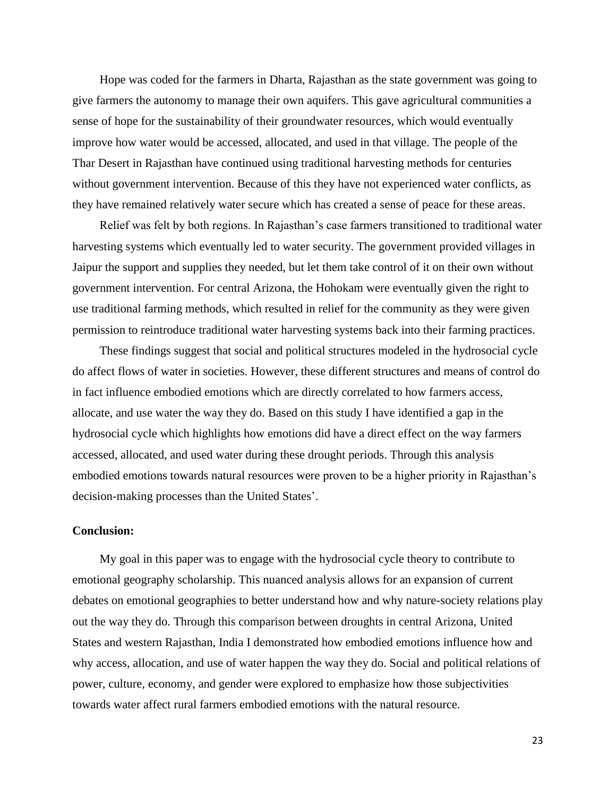Hope was coded for the farmers in Dharta, Rajasthan as the state government was going to give farmers the autonomy to manage their own aquifers. This gave agricultural communities a sense of hope for the sustainability of their groundwater resources, which would eventually improve how water would be accessed, allocated, and used in that village. The people of the Thar Desert in Rajasthan have continued using traditional harvesting methods for centuries without government intervention. Because of this they have not experienced water conflicts, as they have remained relatively water secure which has created a sense of peace for these areas.

Relief was felt by both regions. In Rajasthan's case farmers transitioned to traditional water harvesting systems which eventually led to water security. The government provided villages in Jaipur the support and supplies they needed, but let them take control of it on their own without government intervention. For central Arizona, the Hohokam were eventually given the right to use traditional farming methods, which resulted in relief for the community as they were given permission to reintroduce traditional water harvesting systems back into their farming practices.

These findings suggest that social and political structures modeled in the hydrosocial cycle do affect flows of water in societies. However, these different structures and means of control do in fact influence embodied emotions which are directly correlated to how farmers access, allocate, and use water the way they do. Based on this study I have identified a gap in the hydrosocial cycle which highlights how emotions did have a direct effect on the way farmers accessed, allocated, and used water during these drought periods. Through this analysis embodied emotions towards natural resources were proven to be a higher priority in Rajasthan's decision-making processes than the United States'.

#### **Conclusion:**

My goal in this paper was to engage with the hydrosocial cycle theory to contribute to emotional geography scholarship. This nuanced analysis allows for an expansion of current debates on emotional geographies to better understand how and why nature-society relations play out the way they do. Through this comparison between droughts in central Arizona, United States and western Rajasthan, India I demonstrated how embodied emotions influence how and why access, allocation, and use of water happen the way they do. Social and political relations of power, culture, economy, and gender were explored to emphasize how those subjectivities towards water affect rural farmers embodied emotions with the natural resource.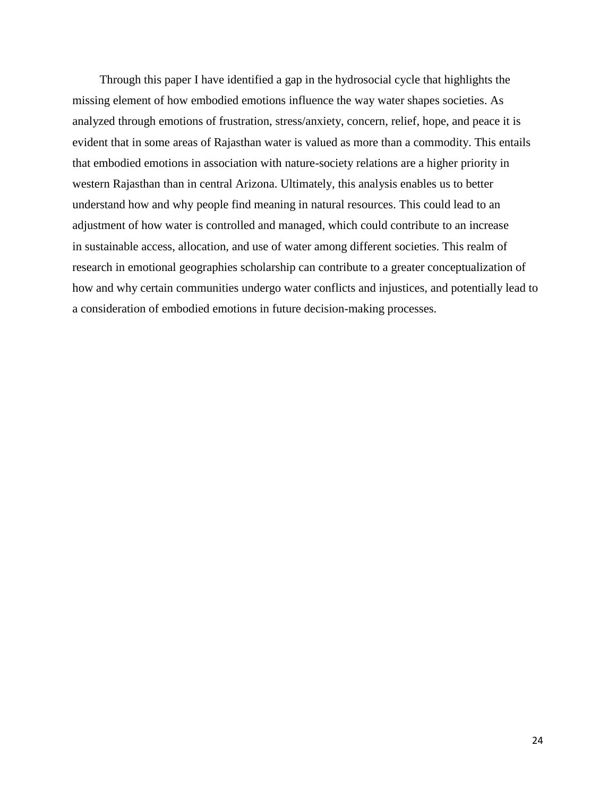Through this paper I have identified a gap in the hydrosocial cycle that highlights the missing element of how embodied emotions influence the way water shapes societies. As analyzed through emotions of frustration, stress/anxiety, concern, relief, hope, and peace it is evident that in some areas of Rajasthan water is valued as more than a commodity. This entails that embodied emotions in association with nature-society relations are a higher priority in western Rajasthan than in central Arizona. Ultimately, this analysis enables us to better understand how and why people find meaning in natural resources. This could lead to an adjustment of how water is controlled and managed, which could contribute to an increase in sustainable access, allocation, and use of water among different societies. This realm of research in emotional geographies scholarship can contribute to a greater conceptualization of how and why certain communities undergo water conflicts and injustices, and potentially lead to a consideration of embodied emotions in future decision-making processes.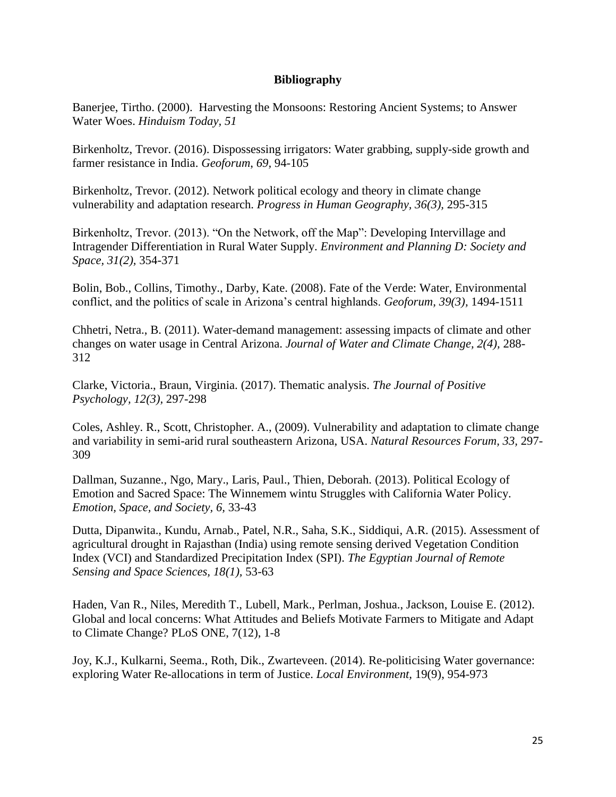## **Bibliography**

Banerjee, Tirtho. (2000). Harvesting the Monsoons: Restoring Ancient Systems; to Answer Water Woes. *Hinduism Today, 51* 

Birkenholtz, Trevor. (2016). Dispossessing irrigators: Water grabbing, supply-side growth and farmer resistance in India. *Geoforum*, *69,* 94-105

Birkenholtz, Trevor. (2012). Network political ecology and theory in climate change vulnerability and adaptation research. *Progress in Human Geography, 36(3),* 295-315

Birkenholtz, Trevor. (2013). "On the Network, off the Map": Developing Intervillage and Intragender Differentiation in Rural Water Supply. *Environment and Planning D: Society and Space, 31(2),* 354-371

Bolin, Bob., Collins, Timothy., Darby, Kate. (2008). Fate of the Verde: Water, Environmental conflict, and the politics of scale in Arizona's central highlands. *Geoforum, 39(3),* 1494-1511

Chhetri, Netra., B. (2011). Water-demand management: assessing impacts of climate and other changes on water usage in Central Arizona. *Journal of Water and Climate Change, 2(4),* 288- 312

Clarke, Victoria., Braun, Virginia. (2017). Thematic analysis. *The Journal of Positive Psychology, 12(3),* 297-298

Coles, Ashley. R., Scott, Christopher. A., (2009). Vulnerability and adaptation to climate change and variability in semi-arid rural southeastern Arizona, USA. *Natural Resources Forum, 33,* 297- 309

Dallman, Suzanne., Ngo, Mary., Laris, Paul., Thien, Deborah. (2013). Political Ecology of Emotion and Sacred Space: The Winnemem wintu Struggles with California Water Policy. *Emotion, Space, and Society, 6,* 33-43

Dutta, Dipanwita., Kundu, Arnab., Patel, N.R., Saha, S.K., Siddiqui, A.R. (2015). Assessment of agricultural drought in Rajasthan (India) using remote sensing derived Vegetation Condition Index (VCI) and Standardized Precipitation Index (SPI). *The Egyptian Journal of Remote Sensing and Space Sciences, 18(1),* 53-63

Haden, Van R., Niles, Meredith T., Lubell, Mark., Perlman, Joshua., Jackson, Louise E. (2012). Global and local concerns: What Attitudes and Beliefs Motivate Farmers to Mitigate and Adapt to Climate Change? PLoS ONE, 7(12), 1-8

Joy, K.J., Kulkarni, Seema., Roth, Dik., Zwarteveen. (2014). Re-politicising Water governance: exploring Water Re-allocations in term of Justice. *Local Environment,* 19(9), 954-973